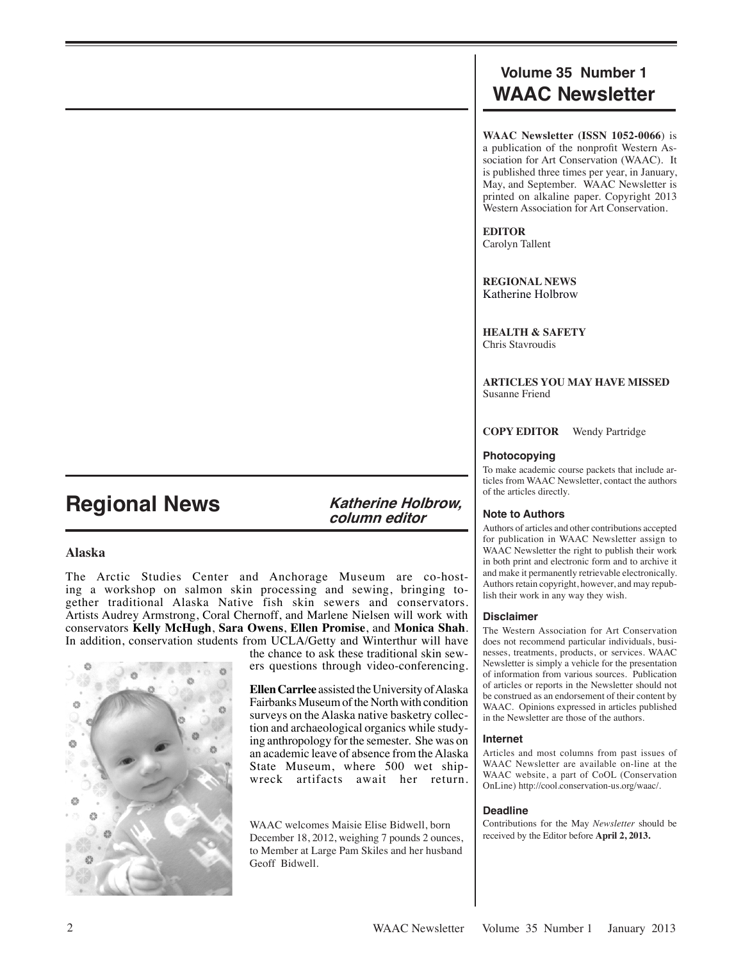## **Volume 35 Number 1 WAAC Newsletter**

**WAAC Newsletter (ISSN 1052-0066**) is a publication of the nonprofit Western Association for Art Conservation (WAAC). It is published three times per year, in January, May, and September. WAAC Newsletter is printed on alkaline paper. Copyright 2013 Western Association for Art Conservation.

**EDITOR** Carolyn Tallent

**REGIONAL NEWS** Katherine Holbrow

**HEALTH & SAFETY** Chris Stavroudis

**ARTICLES YOU MAY HAVE MISSED** Susanne Friend

**COPY EDITOR** Wendy Partridge

## **Photocopying**

To make academic course packets that include articles from WAAC Newsletter, contact the authors of the articles directly.

## **Note to Authors**

Authors of articles and other contributions accepted for publication in WAAC Newsletter assign to WAAC Newsletter the right to publish their work in both print and electronic form and to archive it and make it permanently retrievable electronically. Authors retain copyright, however, and may republish their work in any way they wish.

## **Disclaimer**

The Western Association for Art Conservation does not recommend particular individuals, businesses, treatments, products, or services. WAAC Newsletter is simply a vehicle for the presentation of information from various sources. Publication of articles or reports in the Newsletter should not be construed as an endorsement of their content by WAAC. Opinions expressed in articles published in the Newsletter are those of the authors.

### **Internet**

Articles and most columns from past issues of WAAC Newsletter are available on-line at the WAAC website, a part of CoOL (Conservation OnLine) http://cool.conservation-us.org/waac/.

## **Deadline**

Contributions for the May *Newsletter* should be received by the Editor before **April 2, 2013.**

# **Regional News Katherine Holbrow,**

**column editor** 

## **Alaska**

The Arctic Studies Center and Anchorage Museum are co-hosting a workshop on salmon skin processing and sewing, bringing together traditional Alaska Native fish skin sewers and conservators. Artists Audrey Armstrong, Coral Chernoff, and Marlene Nielsen will work with conservators **Kelly McHugh**, **Sara Owens**, **Ellen Promise**, and **Monica Shah**. In addition, conservation students from UCLA/Getty and Winterthur will have



the chance to ask these traditional skin sewers questions through video-conferencing.

**Ellen Carrlee** assisted the University of Alaska Fairbanks Museum of the North with condition surveys on the Alaska native basketry collection and archaeological organics while studying anthropology for the semester. She was on an academic leave of absence from the Alaska State Museum, where 500 wet shipwreck artifacts await her return.

WAAC welcomes Maisie Elise Bidwell, born December 18, 2012, weighing 7 pounds 2 ounces, to Member at Large Pam Skiles and her husband Geoff Bidwell.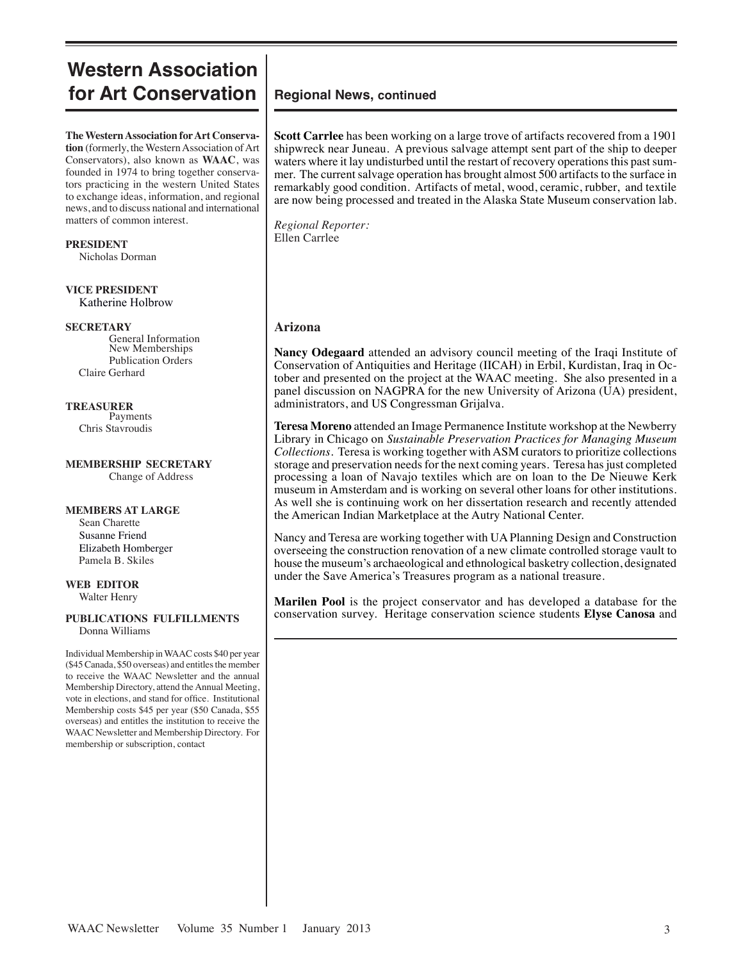## **Western Association for Art Conservation**

**The Western Association for Art Conservation** (formerly, the Western Association of Art Conservators), also known as **WAAC**, was founded in 1974 to bring together conservators practicing in the western United States to exchange ideas, information, and regional news, and to discuss national and international matters of common interest.

**PRESIDENT** Nicholas Dorman

**VICE PRESIDENT** Katherine Holbrow

#### **SECRETARY**

General Information New Memberships Publication Orders Claire Gerhard

**TREASURER** Payments Chris Stavroudis

#### **MEMBERSHIP SECRETARY** Change of Address

#### **MEMBERS AT LARGE**

 Sean Charette Susanne Friend Elizabeth Homberger Pamela B. Skiles

#### **WEB EDITOR** Walter Henry

#### **PUBLICATIONS FULFILLMENTS** Donna Williams

Individual Membership in WAAC costs \$40 per year (\$45 Canada, \$50 overseas) and entitles the member to receive the WAAC Newsletter and the annual Membership Directory, attend the Annual Meeting, vote in elections, and stand for office. Institutional Membership costs \$45 per year (\$50 Canada, \$55 overseas) and entitles the institution to receive the WAAC Newsletter and Membership Directory. For membership or subscription, contact

## **Regional News, continued**

**Scott Carrlee** has been working on a large trove of artifacts recovered from a 1901 shipwreck near Juneau. A previous salvage attempt sent part of the ship to deeper waters where it lay undisturbed until the restart of recovery operations this past summer. The current salvage operation has brought almost 500 artifacts to the surface in remarkably good condition. Artifacts of metal, wood, ceramic, rubber, and textile are now being processed and treated in the Alaska State Museum conservation lab.

*Regional Reporter:* Ellen Carrlee

## **Arizona**

**Nancy Odegaard** attended an advisory council meeting of the Iraqi Institute of Conservation of Antiquities and Heritage (IICAH) in Erbil, Kurdistan, Iraq in October and presented on the project at the WAAC meeting. She also presented in a panel discussion on NAGPRA for the new University of Arizona (UA) president, administrators, and US Congressman Grijalva.

**Teresa Moreno** attended an Image Permanence Institute workshop at the Newberry Library in Chicago on *Sustainable Preservation Practices for Managing Museum Collections*. Teresa is working together with ASM curators to prioritize collections storage and preservation needs for the next coming years. Teresa has just completed processing a loan of Navajo textiles which are on loan to the De Nieuwe Kerk museum in Amsterdam and is working on several other loans for other institutions. As well she is continuing work on her dissertation research and recently attended the American Indian Marketplace at the Autry National Center.

Nancy and Teresa are working together with UA Planning Design and Construction overseeing the construction renovation of a new climate controlled storage vault to house the museum's archaeological and ethnological basketry collection, designated under the Save America's Treasures program as a national treasure.

**Marilen Pool** is the project conservator and has developed a database for the conservation survey. Heritage conservation science students **Elyse Canosa** and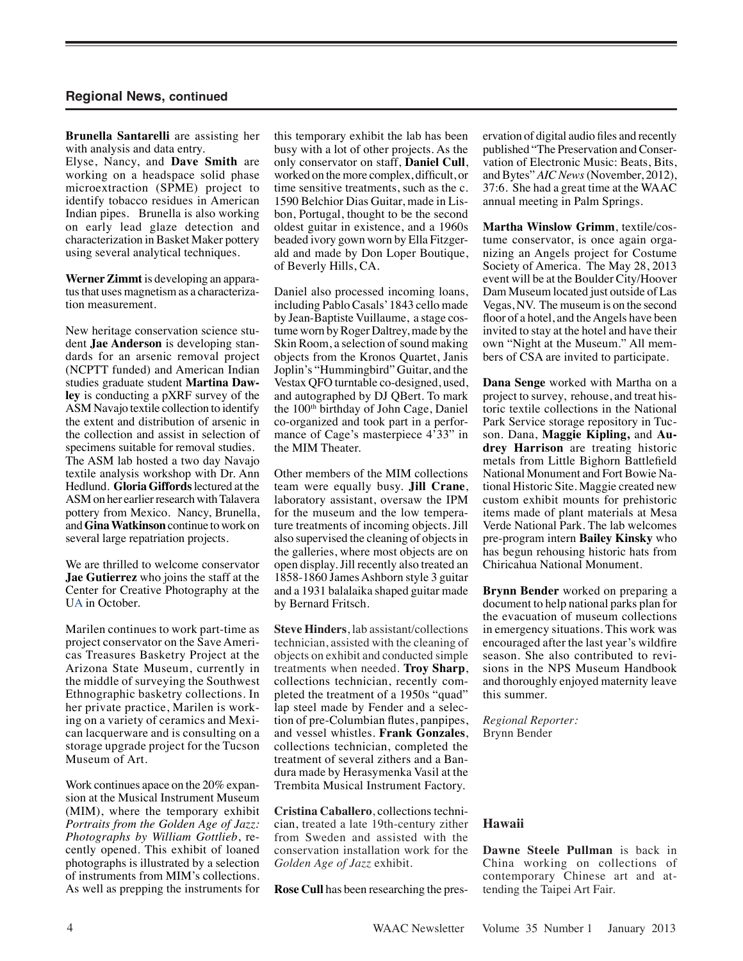**Brunella Santarelli** are assisting her with analysis and data entry.

Elyse, Nancy, and **Dave Smith** are working on a headspace solid phase microextraction (SPME) project to identify tobacco residues in American Indian pipes. Brunella is also working on early lead glaze detection and characterization in Basket Maker pottery using several analytical techniques.

**Werner Zimmt** is developing an apparatus that uses magnetism as a characterization measurement.

New heritage conservation science student **Jae Anderson** is developing standards for an arsenic removal project (NCPTT funded) and American Indian studies graduate student **Martina Dawley** is conducting a pXRF survey of the ASM Navajo textile collection to identify the extent and distribution of arsenic in the collection and assist in selection of specimens suitable for removal studies. The ASM lab hosted a two day Navajo textile analysis workshop with Dr. Ann Hedlund. **Gloria Giffords** lectured at the ASM on her earlier research with Talavera pottery from Mexico. Nancy, Brunella, and **Gina Watkinson** continue to work on several large repatriation projects.

We are thrilled to welcome conservator **Jae Gutierrez** who joins the staff at the Center for Creative Photography at the UA in October.

Marilen continues to work part-time as project conservator on the Save Americas Treasures Basketry Project at the Arizona State Museum, currently in the middle of surveying the Southwest Ethnographic basketry collections. In her private practice, Marilen is working on a variety of ceramics and Mexican lacquerware and is consulting on a storage upgrade project for the Tucson Museum of Art.

Work continues apace on the 20% expansion at the Musical Instrument Museum (MIM), where the temporary exhibit *Portraits from the Golden Age of Jazz: Photographs by William Gottlieb*, recently opened. This exhibit of loaned photographs is illustrated by a selection of instruments from MIM's collections. As well as prepping the instruments for this temporary exhibit the lab has been busy with a lot of other projects. As the only conservator on staff, **Daniel Cull**, worked on the more complex, difficult, or time sensitive treatments, such as the c. 1590 Belchior Dias Guitar, made in Lisbon, Portugal, thought to be the second oldest guitar in existence, and a 1960s beaded ivory gown worn by Ella Fitzgerald and made by Don Loper Boutique, of Beverly Hills, CA.

Daniel also processed incoming loans, including Pablo Casals' 1843 cello made by Jean-Baptiste Vuillaume, a stage costume worn by Roger Daltrey, made by the Skin Room, a selection of sound making objects from the Kronos Quartet, Janis Joplin's "Hummingbird" Guitar, and the Vestax QFO turntable co-designed, used, and autographed by DJ QBert. To mark the 100th birthday of John Cage, Daniel co-organized and took part in a performance of Cage's masterpiece 4'33" in the MIM Theater.

Other members of the MIM collections team were equally busy. **Jill Crane**, laboratory assistant, oversaw the IPM for the museum and the low temperature treatments of incoming objects. Jill also supervised the cleaning of objects in the galleries, where most objects are on open display. Jill recently also treated an 1858-1860 James Ashborn style 3 guitar and a 1931 balalaika shaped guitar made by Bernard Fritsch.

**Steve Hinders**, lab assistant/collections technician, assisted with the cleaning of objects on exhibit and conducted simple treatments when needed. **Troy Sharp**, collections technician, recently completed the treatment of a 1950s "quad" lap steel made by Fender and a selection of pre-Columbian flutes, panpipes, and vessel whistles. **Frank Gonzales**, collections technician, completed the treatment of several zithers and a Bandura made by Herasymenka Vasil at the Trembita Musical Instrument Factory.

**Cristina Caballero**, collections technician, treated a late 19th-century zither from Sweden and assisted with the conservation installation work for the *Golden Age of Jazz* exhibit.

**Rose Cull** has been researching the pres-

ervation of digital audio files and recently published "The Preservation and Conservation of Electronic Music: Beats, Bits, and Bytes" *AIC News* (November, 2012), 37:6. She had a great time at the WAAC annual meeting in Palm Springs.

**Martha Winslow Grimm**, textile/costume conservator, is once again organizing an Angels project for Costume Society of America. The May 28, 2013 event will be at the Boulder City/Hoover Dam Museum located just outside of Las Vegas, NV. The museum is on the second floor of a hotel, and the Angels have been invited to stay at the hotel and have their own "Night at the Museum." All members of CSA are invited to participate.

**Dana Senge** worked with Martha on a project to survey, rehouse, and treat historic textile collections in the National Park Service storage repository in Tucson. Dana, **Maggie Kipling,** and **Audrey Harrison** are treating historic metals from Little Bighorn Battlefield National Monument and Fort Bowie National Historic Site. Maggie created new custom exhibit mounts for prehistoric items made of plant materials at Mesa Verde National Park. The lab welcomes pre-program intern **Bailey Kinsky** who has begun rehousing historic hats from Chiricahua National Monument.

**Brynn Bender** worked on preparing a document to help national parks plan for the evacuation of museum collections in emergency situations. This work was encouraged after the last year's wildfire season. She also contributed to revisions in the NPS Museum Handbook and thoroughly enjoyed maternity leave this summer.

*Regional Reporter:* Brynn Bender

#### **Hawaii**

**Dawne Steele Pullman** is back in China working on collections of contemporary Chinese art and attending the Taipei Art Fair.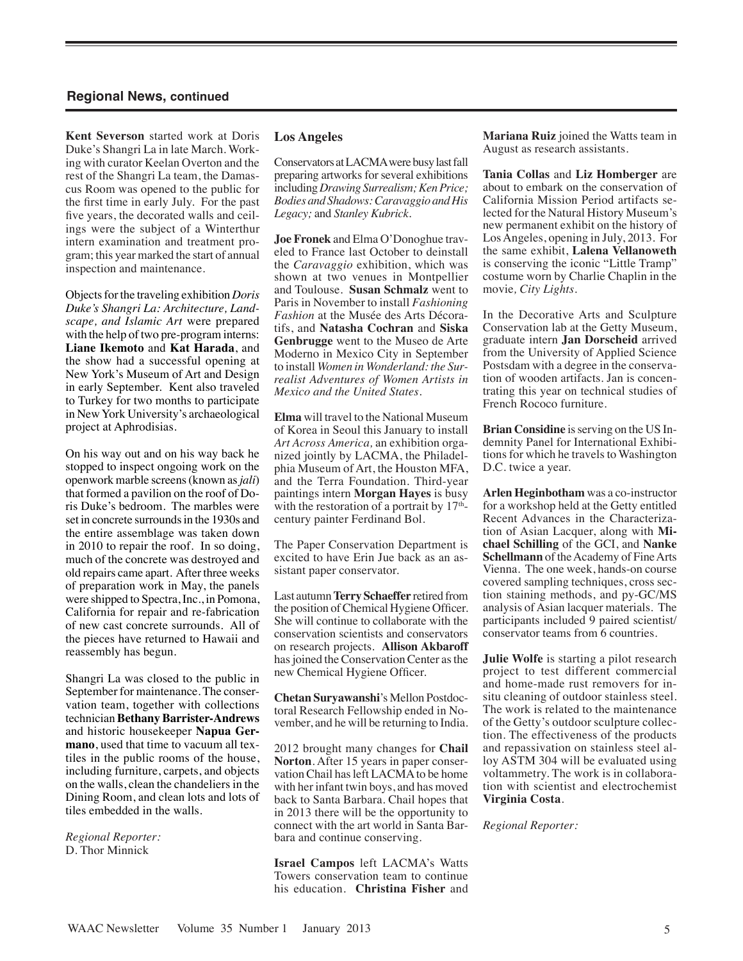**Kent Severson** started work at Doris Duke's Shangri La in late March. Working with curator Keelan Overton and the rest of the Shangri La team, the Damascus Room was opened to the public for the first time in early July. For the past five years, the decorated walls and ceilings were the subject of a Winterthur intern examination and treatment program; this year marked the start of annual inspection and maintenance.

Objects for the traveling exhibition *Doris Duke's Shangri La: Architecture, Landscape, and Islamic Art* were prepared with the help of two pre-program interns: **Liane Ikemoto** and **Kat Harada**, and the show had a successful opening at New York's Museum of Art and Design in early September. Kent also traveled to Turkey for two months to participate in New York University's archaeological project at Aphrodisias.

On his way out and on his way back he stopped to inspect ongoing work on the openwork marble screens (known as *jali*) that formed a pavilion on the roof of Doris Duke's bedroom. The marbles were set in concrete surrounds in the 1930s and the entire assemblage was taken down in 2010 to repair the roof. In so doing, much of the concrete was destroyed and old repairs came apart. After three weeks of preparation work in May, the panels were shipped to Spectra, Inc., in Pomona, California for repair and re-fabrication of new cast concrete surrounds. All of the pieces have returned to Hawaii and reassembly has begun.

Shangri La was closed to the public in September for maintenance. The conservation team, together with collections technician **Bethany Barrister-Andrews** and historic housekeeper **Napua Germano**, used that time to vacuum all textiles in the public rooms of the house, including furniture, carpets, and objects on the walls, clean the chandeliers in the Dining Room, and clean lots and lots of tiles embedded in the walls.

*Regional Reporter:*  D. Thor Minnick

#### **Los Angeles**

Conservators at LACMA were busy last fall preparing artworks for several exhibitions including *Drawing Surrealism; Ken Price; Bodies and Shadows: Caravaggio and His Legacy;* and *Stanley Kubrick.*

**Joe Fronek** and Elma O'Donoghue traveled to France last October to deinstall the *Caravaggio* exhibition, which was shown at two venues in Montpellier and Toulouse. **Susan Schmalz** went to Paris in November to install *Fashioning Fashion* at the Musée des Arts Décoratifs, and **Natasha Cochran** and **Siska Genbrugge** went to the Museo de Arte Moderno in Mexico City in September to install *Women in Wonderland: the Surrealist Adventures of Women Artists in Mexico and the United States.* 

**Elma** will travel to the National Museum of Korea in Seoul this January to install *Art Across America,* an exhibition organized jointly by LACMA, the Philadelphia Museum of Art, the Houston MFA, and the Terra Foundation. Third-year paintings intern **Morgan Hayes** is busy with the restoration of a portrait by  $17<sup>th</sup>$ century painter Ferdinand Bol.

The Paper Conservation Department is excited to have Erin Jue back as an assistant paper conservator.

Last autumn **Terry Schaeffer** retired from the position of Chemical Hygiene Officer. She will continue to collaborate with the conservation scientists and conservators on research projects. **Allison Akbaroff** has joined the Conservation Center as the new Chemical Hygiene Officer.

**Chetan Suryawanshi**'s Mellon Postdoctoral Research Fellowship ended in November, and he will be returning to India.

2012 brought many changes for **Chail Norton**. After 15 years in paper conservation Chail has left LACMA to be home with her infant twin boys, and has moved back to Santa Barbara. Chail hopes that in 2013 there will be the opportunity to connect with the art world in Santa Barbara and continue conserving.

**Israel Campos** left LACMA's Watts Towers conservation team to continue his education. **Christina Fisher** and **Mariana Ruiz** joined the Watts team in August as research assistants.

**Tania Collas** and **Liz Homberger** are about to embark on the conservation of California Mission Period artifacts selected for the Natural History Museum's new permanent exhibit on the history of Los Angeles, opening in July, 2013. For the same exhibit, **Lalena Vellanoweth** is conserving the iconic "Little Tramp" costume worn by Charlie Chaplin in the movie*, City Lights*.

In the Decorative Arts and Sculpture Conservation lab at the Getty Museum, graduate intern **Jan Dorscheid** arrived from the University of Applied Science Postsdam with a degree in the conservation of wooden artifacts. Jan is concentrating this year on technical studies of French Rococo furniture.

**Brian Considine** is serving on the US Indemnity Panel for International Exhibitions for which he travels to Washington D.C. twice a year.

**Arlen Heginbotham** was a co-instructor for a workshop held at the Getty entitled Recent Advances in the Characterization of Asian Lacquer, along with **Michael Schilling** of the GCI, and **Nanke Schellmann** of the Academy of Fine Arts Vienna. The one week, hands-on course covered sampling techniques, cross section staining methods, and py-GC/MS analysis of Asian lacquer materials. The participants included 9 paired scientist/ conservator teams from 6 countries.

**Julie Wolfe** is starting a pilot research project to test different commercial and home-made rust removers for insitu cleaning of outdoor stainless steel. The work is related to the maintenance of the Getty's outdoor sculpture collection. The effectiveness of the products and repassivation on stainless steel alloy ASTM 304 will be evaluated using voltammetry. The work is in collaboration with scientist and electrochemist **Virginia Costa**.

*Regional Reporter:*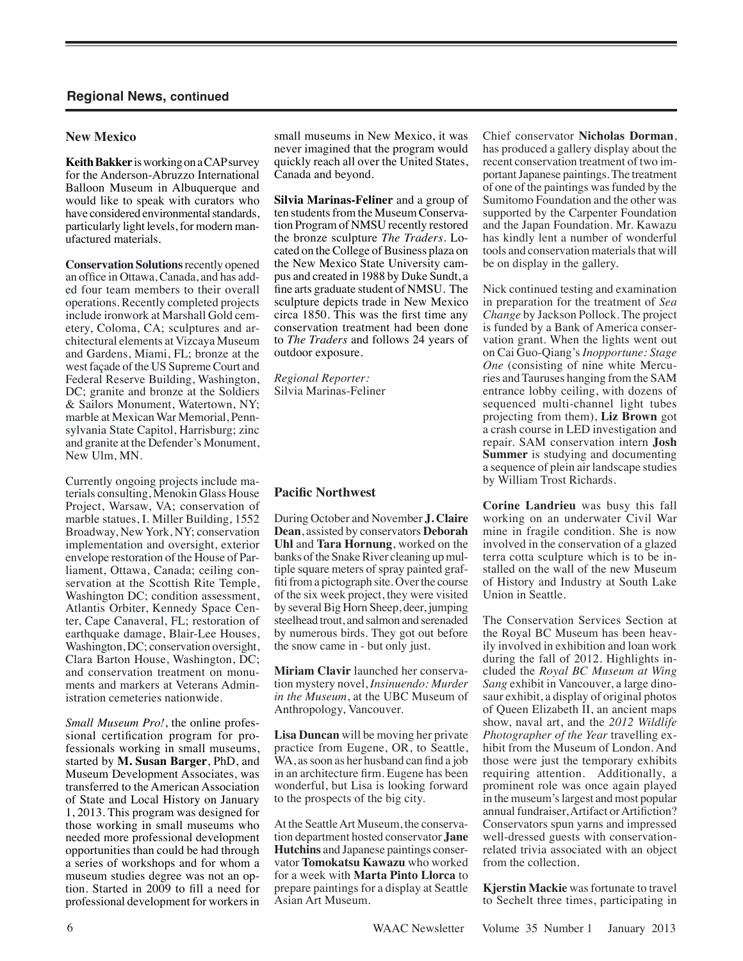#### **New Mexico**

**Keith Bakker** is working on a CAP survey for the Anderson-Abruzzo International Balloon Museum in Albuquerque and would like to speak with curators who have considered environmental standards, particularly light levels, for modern manufactured materials.

**Conservation Solutions** recently opened an office in Ottawa, Canada, and has added four team members to their overall operations. Recently completed projects include ironwork at Marshall Gold cemetery, Coloma, CA; sculptures and architectural elements at Vizcaya Museum and Gardens, Miami, FL; bronze at the west façade of the US Supreme Court and Federal Reserve Building, Washington, DC; granite and bronze at the Soldiers & Sailors Monument, Watertown, NY; marble at Mexican War Memorial, Pennsylvania State Capitol, Harrisburg; zinc and granite at the Defender's Monument, New Ulm, MN.

Currently ongoing projects include materials consulting, Menokin Glass House Project, Warsaw, VA; conservation of marble statues, I. Miller Building, 1552 Broadway, New York, NY; conservation implementation and oversight, exterior envelope restoration of the House of Parliament, Ottawa, Canada; ceiling conservation at the Scottish Rite Temple, Washington DC; condition assessment, Atlantis Orbiter, Kennedy Space Center, Cape Canaveral, FL; restoration of earthquake damage, Blair-Lee Houses, Washington, DC; conservation oversight, Clara Barton House, Washington, DC; and conservation treatment on monuments and markers at Veterans Administration cemeteries nationwide.

*Small Museum Pro!*, the online professional certification program for professionals working in small museums, started by **M. Susan Barger**, PhD, and Museum Development Associates, was transferred to the American Association of State and Local History on January 1, 2013. This program was designed for those working in small museums who needed more professional development opportunities than could be had through a series of workshops and for whom a museum studies degree was not an option. Started in 2009 to fill a need for professional development for workers in

small museums in New Mexico, it was never imagined that the program would quickly reach all over the United States, Canada and beyond.

**Silvia Marinas-Feliner** and a group of ten students from the Museum Conservation Program of NMSU recently restored the bronze sculpture *The Traders*. Located on the College of Business plaza on the New Mexico State University campus and created in 1988 by Duke Sundt, a fine arts graduate student of NMSU. The sculpture depicts trade in New Mexico circa 1850. This was the first time any conservation treatment had been done to *The Traders* and follows 24 years of outdoor exposure.

*Regional Reporter:* Silvia Marinas-Feliner

### **Pacific Northwest**

During October and November **J. Claire Dean**, assisted by conservators **Deborah Uhl** and **Tara Hornung**, worked on the banks of the Snake River cleaning up multiple square meters of spray painted graffiti from a pictograph site. Over the course of the six week project, they were visited by several Big Horn Sheep, deer, jumping steelhead trout, and salmon and serenaded by numerous birds. They got out before the snow came in - but only just.

**Miriam Clavir** launched her conservation mystery novel, *Insinuendo: Murder in the Museum*, at the UBC Museum of Anthropology, Vancouver.

**Lisa Duncan** will be moving her private practice from Eugene, OR, to Seattle, WA, as soon as her husband can find a job in an architecture firm. Eugene has been wonderful, but Lisa is looking forward to the prospects of the big city.

At the Seattle Art Museum, the conservation department hosted conservator **Jane Hutchins** and Japanese paintings conservator **Tomokatsu Kawazu** who worked for a week with **Marta Pinto Llorca** to prepare paintings for a display at Seattle Asian Art Museum.

Chief conservator **Nicholas Dorman**, has produced a gallery display about the recent conservation treatment of two important Japanese paintings. The treatment of one of the paintings was funded by the Sumitomo Foundation and the other was supported by the Carpenter Foundation and the Japan Foundation. Mr. Kawazu has kindly lent a number of wonderful tools and conservation materials that will be on display in the gallery.

Nick continued testing and examination in preparation for the treatment of *Sea Change* by Jackson Pollock. The project is funded by a Bank of America conservation grant. When the lights went out on Cai Guo-Qiang's *Inopportune: Stage One* (consisting of nine white Mercuries and Tauruses hanging from the SAM entrance lobby ceiling, with dozens of sequenced multi-channel light tubes projecting from them), **Liz Brown** got a crash course in LED investigation and repair. SAM conservation intern **Josh Summer** is studying and documenting a sequence of plein air landscape studies by William Trost Richards.

**Corine Landrieu** was busy this fall working on an underwater Civil War mine in fragile condition. She is now involved in the conservation of a glazed terra cotta sculpture which is to be installed on the wall of the new Museum of History and Industry at South Lake Union in Seattle.

The Conservation Services Section at the Royal BC Museum has been heavily involved in exhibition and loan work during the fall of 2012. Highlights included the *Royal BC Museum at Wing Sang* exhibit in Vancouver, a large dinosaur exhibit, a display of original photos of Queen Elizabeth II, an ancient maps show, naval art, and the *2012 Wildlife Photographer of the Year* travelling exhibit from the Museum of London. And those were just the temporary exhibits requiring attention. Additionally, a prominent role was once again played in the museum's largest and most popular annual fundraiser, Artifact or Artifiction? Conservators spun yarns and impressed well-dressed guests with conservationrelated trivia associated with an object from the collection.

**Kjerstin Mackie** was fortunate to travel to Sechelt three times, participating in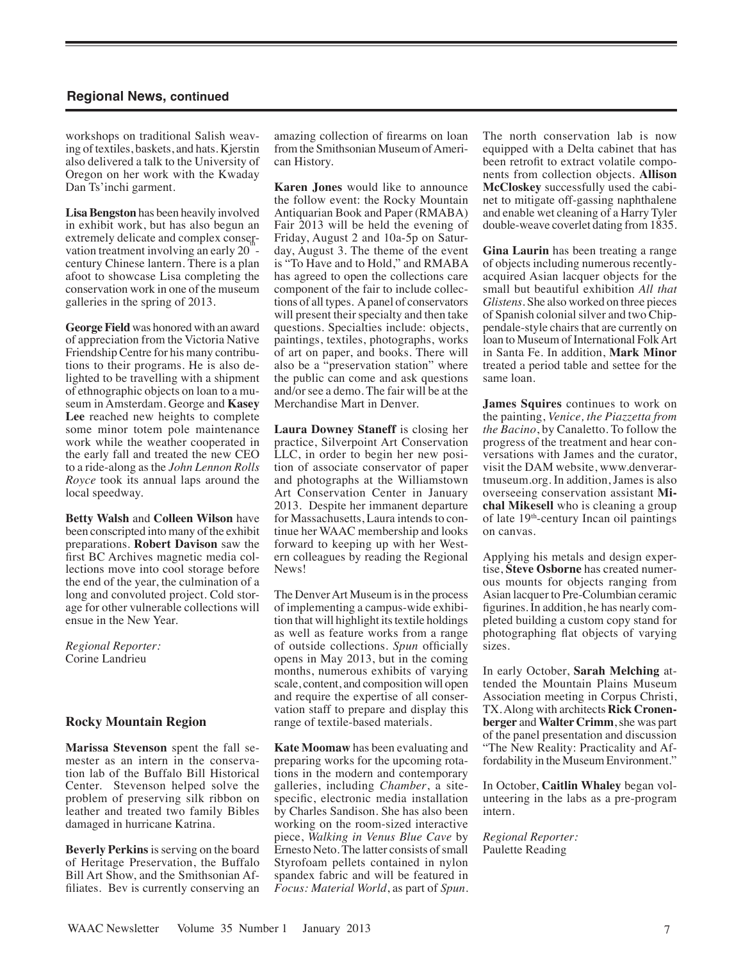workshops on traditional Salish weaving of textiles, baskets, and hats. Kjerstin also delivered a talk to the University of Oregon on her work with the Kwaday Dan Ts'inchi garment.

**Lisa Bengston** has been heavily involved in exhibit work, but has also begun an extremely delicate and complex conservation treatment involving an early  $20$  century Chinese lantern. There is a plan afoot to showcase Lisa completing the conservation work in one of the museum galleries in the spring of 2013.

**George Field** was honored with an award of appreciation from the Victoria Native Friendship Centre for his many contributions to their programs. He is also delighted to be travelling with a shipment of ethnographic objects on loan to a museum in Amsterdam. George and **Kasey Lee** reached new heights to complete some minor totem pole maintenance work while the weather cooperated in the early fall and treated the new CEO to a ride-along as the *John Lennon Rolls Royce* took its annual laps around the local speedway.

**Betty Walsh** and **Colleen Wilson** have been conscripted into many of the exhibit preparations. **Robert Davison** saw the first BC Archives magnetic media collections move into cool storage before the end of the year, the culmination of a long and convoluted project. Cold storage for other vulnerable collections will ensue in the New Year.

*Regional Reporter:* Corine Landrieu

#### **Rocky Mountain Region**

**Marissa Stevenson** spent the fall semester as an intern in the conservation lab of the Buffalo Bill Historical Center. Stevenson helped solve the problem of preserving silk ribbon on leather and treated two family Bibles damaged in hurricane Katrina.

**Beverly Perkins** is serving on the board of Heritage Preservation, the Buffalo Bill Art Show, and the Smithsonian Affiliates. Bev is currently conserving an

amazing collection of firearms on loan from the Smithsonian Museum of American History.

**Karen Jones** would like to announce the follow event: the Rocky Mountain Antiquarian Book and Paper (RMABA) Fair 2013 will be held the evening of Friday, August 2 and 10a-5p on Saturday, August 3. The theme of the event is "To Have and to Hold," and RMABA has agreed to open the collections care component of the fair to include collections of all types. A panel of conservators will present their specialty and then take questions. Specialties include: objects, paintings, textiles, photographs, works of art on paper, and books. There will also be a "preservation station" where the public can come and ask questions and/or see a demo. The fair will be at the Merchandise Mart in Denver.

**Laura Downey Staneff** is closing her practice, Silverpoint Art Conservation LLC, in order to begin her new position of associate conservator of paper and photographs at the Williamstown Art Conservation Center in January 2013. Despite her immanent departure for Massachusetts, Laura intends to continue her WAAC membership and looks forward to keeping up with her Western colleagues by reading the Regional News!

The Denver Art Museum is in the process of implementing a campus-wide exhibition that will highlight its textile holdings as well as feature works from a range of outside collections. *Spun* officially opens in May 2013, but in the coming months, numerous exhibits of varying scale, content, and composition will open and require the expertise of all conservation staff to prepare and display this range of textile-based materials.

**Kate Moomaw** has been evaluating and preparing works for the upcoming rotations in the modern and contemporary galleries, including *Chamber*, a sitespecific, electronic media installation by Charles Sandison. She has also been working on the room-sized interactive piece, *Walking in Venus Blue Cave* by Ernesto Neto. The latter consists of small Styrofoam pellets contained in nylon spandex fabric and will be featured in *Focus: Material World*, as part of *Spun*. The north conservation lab is now equipped with a Delta cabinet that has been retrofit to extract volatile components from collection objects. **Allison McCloskey** successfully used the cabinet to mitigate off-gassing naphthalene and enable wet cleaning of a Harry Tyler double-weave coverlet dating from 1835.

**Gina Laurin** has been treating a range of objects including numerous recentlyacquired Asian lacquer objects for the small but beautiful exhibition *All that Glistens*. She also worked on three pieces of Spanish colonial silver and two Chippendale-style chairs that are currently on loan to Museum of International Folk Art in Santa Fe. In addition, **Mark Minor** treated a period table and settee for the same loan.

**James Squires** continues to work on the painting, *Venice, the Piazzetta from the Bacino*, by Canaletto. To follow the progress of the treatment and hear conversations with James and the curator, visit the DAM website, www.denverartmuseum.org. In addition, James is also overseeing conservation assistant **Michal Mikesell** who is cleaning a group of late 19th-century Incan oil paintings on canvas.

Applying his metals and design expertise, **Steve Osborne** has created numerous mounts for objects ranging from Asian lacquer to Pre-Columbian ceramic figurines. In addition, he has nearly completed building a custom copy stand for photographing flat objects of varying sizes.

In early October, **Sarah Melching** attended the Mountain Plains Museum Association meeting in Corpus Christi, TX. Along with architects **Rick Cronenberger** and **Walter Crimm**, she was part of the panel presentation and discussion "The New Reality: Practicality and Affordability in the Museum Environment."

In October, **Caitlin Whaley** began volunteering in the labs as a pre-program intern.

*Regional Reporter:* Paulette Reading